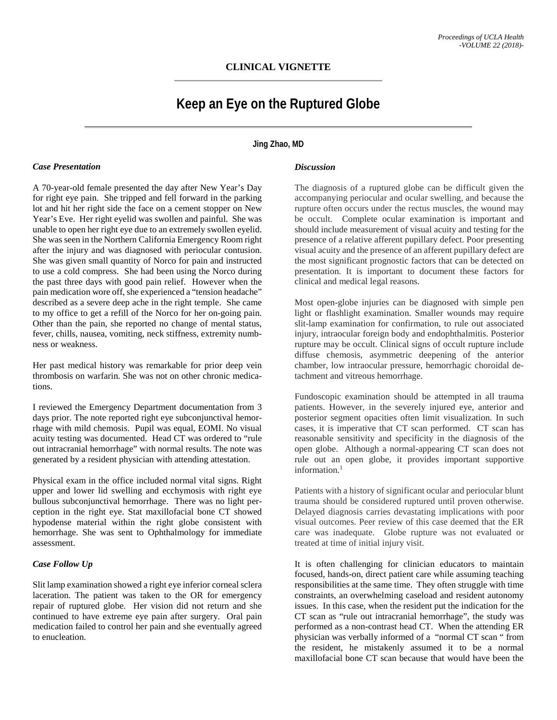# **CLINICAL VIGNETTE**

# **Keep an Eye on the Ruptured Globe**

### **Jing Zhao, MD**

#### *Case Presentation*

A 70-year-old female presented the day after New Year's Day for right eye pain. She tripped and fell forward in the parking lot and hit her right side the face on a cement stopper on New Year's Eve. Her right eyelid was swollen and painful. She was unable to open her right eye due to an extremely swollen eyelid. She was seen in the Northern California Emergency Room right after the injury and was diagnosed with periocular contusion. She was given small quantity of Norco for pain and instructed to use a cold compress. She had been using the Norco during the past three days with good pain relief. However when the pain medication wore off, she experienced a "tension headache" described as a severe deep ache in the right temple. She came to my office to get a refill of the Norco for her on-going pain. Other than the pain, she reported no change of mental status, fever, chills, nausea, vomiting, neck stiffness, extremity numbness or weakness.

Her past medical history was remarkable for prior deep vein thrombosis on warfarin. She was not on other chronic medications.

I reviewed the Emergency Department documentation from 3 days prior. The note reported right eye subconjunctival hemorrhage with mild chemosis. Pupil was equal, EOMI. No visual acuity testing was documented. Head CT was ordered to "rule out intracranial hemorrhage" with normal results. The note was generated by a resident physician with attending attestation.

Physical exam in the office included normal vital signs. Right upper and lower lid swelling and ecchymosis with right eye bullous subconjunctival hemorrhage. There was no light perception in the right eye. Stat maxillofacial bone CT showed hypodense material within the right globe consistent with hemorrhage. She was sent to Ophthalmology for immediate assessment.

## *Case Follow Up*

Slit lamp examination showed a right eye inferior corneal sclera laceration. The patient was taken to the OR for emergency repair of ruptured globe. Her vision did not return and she continued to have extreme eye pain after surgery. Oral pain medication failed to control her pain and she eventually agreed to enucleation.

#### *Discussion*

The diagnosis of a ruptured globe can be difficult given the accompanying periocular and ocular swelling, and because the rupture often occurs under the rectus muscles, the wound may be occult. Complete ocular examination is important and should include measurement of visual acuity and testing for the presence of a relative afferent pupillary defect. Poor presenting visual acuity and the presence of an afferent pupillary defect are the most significant prognostic factors that can be detected on presentation. It is important to document these factors for clinical and medical legal reasons.

Most open-globe injuries can be diagnosed with simple pen light or flashlight examination. Smaller wounds may require slit-lamp examination for confirmation, to rule out associated injury, intraocular foreign body and endophthalmitis. Posterior rupture may be occult. Clinical signs of occult rupture include diffuse chemosis, asymmetric deepening of the anterior chamber, low intraocular pressure, hemorrhagic choroidal detachment and vitreous hemorrhage.

Fundoscopic examination should be attempted in all trauma patients. However, in the severely injured eye, anterior and posterior segment opacities often limit visualization. In such cases, it is imperative that CT scan performed. CT scan has reasonable sensitivity and specificity in the diagnosis of the open globe. Although a normal-appearing CT scan does not rule out an open globe, it provides important supportive information.<sup>1</sup>

Patients with a history of significant ocular and periocular blunt trauma should be considered ruptured until proven otherwise. Delayed diagnosis carries devastating implications with poor visual outcomes. Peer review of this case deemed that the ER care was inadequate. Globe rupture was not evaluated or treated at time of initial injury visit.

It is often challenging for clinician educators to maintain focused, hands-on, direct patient care while assuming teaching responsibilities at the same time. They often struggle with time constraints, an overwhelming caseload and resident autonomy issues. In this case, when the resident put the indication for the CT scan as "rule out intracranial hemorrhage", the study was performed as a non-contrast head CT. When the attending ER physician was verbally informed of a "normal CT scan " from the resident, he mistakenly assumed it to be a normal maxillofacial bone CT scan because that would have been the